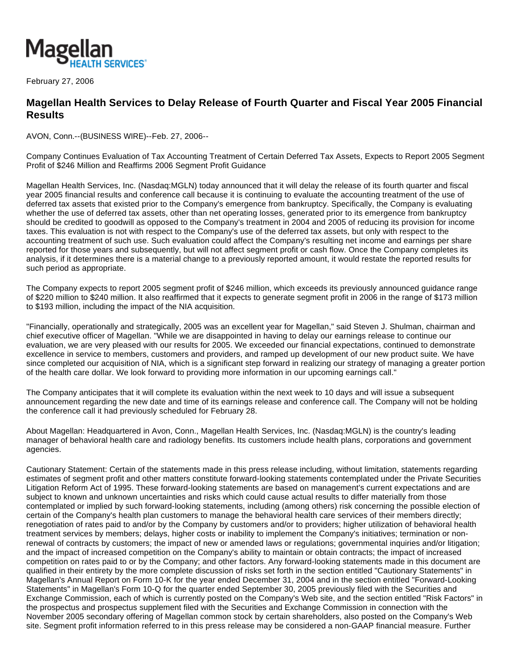

February 27, 2006

## **Magellan Health Services to Delay Release of Fourth Quarter and Fiscal Year 2005 Financial Results**

AVON, Conn.--(BUSINESS WIRE)--Feb. 27, 2006--

Company Continues Evaluation of Tax Accounting Treatment of Certain Deferred Tax Assets, Expects to Report 2005 Segment Profit of \$246 Million and Reaffirms 2006 Segment Profit Guidance

Magellan Health Services, Inc. (Nasdaq:MGLN) today announced that it will delay the release of its fourth quarter and fiscal year 2005 financial results and conference call because it is continuing to evaluate the accounting treatment of the use of deferred tax assets that existed prior to the Company's emergence from bankruptcy. Specifically, the Company is evaluating whether the use of deferred tax assets, other than net operating losses, generated prior to its emergence from bankruptcy should be credited to goodwill as opposed to the Company's treatment in 2004 and 2005 of reducing its provision for income taxes. This evaluation is not with respect to the Company's use of the deferred tax assets, but only with respect to the accounting treatment of such use. Such evaluation could affect the Company's resulting net income and earnings per share reported for those years and subsequently, but will not affect segment profit or cash flow. Once the Company completes its analysis, if it determines there is a material change to a previously reported amount, it would restate the reported results for such period as appropriate.

The Company expects to report 2005 segment profit of \$246 million, which exceeds its previously announced guidance range of \$220 million to \$240 million. It also reaffirmed that it expects to generate segment profit in 2006 in the range of \$173 million to \$193 million, including the impact of the NIA acquisition.

"Financially, operationally and strategically, 2005 was an excellent year for Magellan," said Steven J. Shulman, chairman and chief executive officer of Magellan. "While we are disappointed in having to delay our earnings release to continue our evaluation, we are very pleased with our results for 2005. We exceeded our financial expectations, continued to demonstrate excellence in service to members, customers and providers, and ramped up development of our new product suite. We have since completed our acquisition of NIA, which is a significant step forward in realizing our strategy of managing a greater portion of the health care dollar. We look forward to providing more information in our upcoming earnings call."

The Company anticipates that it will complete its evaluation within the next week to 10 days and will issue a subsequent announcement regarding the new date and time of its earnings release and conference call. The Company will not be holding the conference call it had previously scheduled for February 28.

About Magellan: Headquartered in Avon, Conn., Magellan Health Services, Inc. (Nasdaq:MGLN) is the country's leading manager of behavioral health care and radiology benefits. Its customers include health plans, corporations and government agencies.

Cautionary Statement: Certain of the statements made in this press release including, without limitation, statements regarding estimates of segment profit and other matters constitute forward-looking statements contemplated under the Private Securities Litigation Reform Act of 1995. These forward-looking statements are based on management's current expectations and are subject to known and unknown uncertainties and risks which could cause actual results to differ materially from those contemplated or implied by such forward-looking statements, including (among others) risk concerning the possible election of certain of the Company's health plan customers to manage the behavioral health care services of their members directly; renegotiation of rates paid to and/or by the Company by customers and/or to providers; higher utilization of behavioral health treatment services by members; delays, higher costs or inability to implement the Company's initiatives; termination or nonrenewal of contracts by customers; the impact of new or amended laws or regulations; governmental inquiries and/or litigation; and the impact of increased competition on the Company's ability to maintain or obtain contracts; the impact of increased competition on rates paid to or by the Company; and other factors. Any forward-looking statements made in this document are qualified in their entirety by the more complete discussion of risks set forth in the section entitled "Cautionary Statements" in Magellan's Annual Report on Form 10-K for the year ended December 31, 2004 and in the section entitled "Forward-Looking Statements" in Magellan's Form 10-Q for the quarter ended September 30, 2005 previously filed with the Securities and Exchange Commission, each of which is currently posted on the Company's Web site, and the section entitled "Risk Factors" in the prospectus and prospectus supplement filed with the Securities and Exchange Commission in connection with the November 2005 secondary offering of Magellan common stock by certain shareholders, also posted on the Company's Web site. Segment profit information referred to in this press release may be considered a non-GAAP financial measure. Further